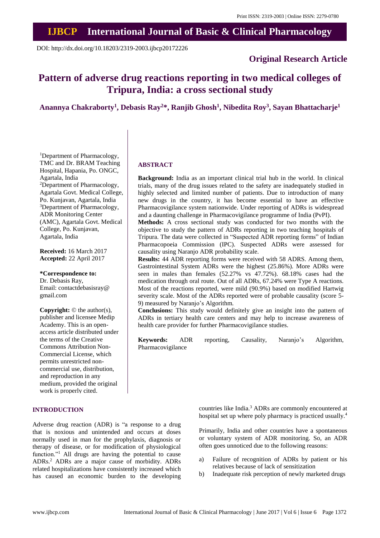## **IJBCP International Journal of Basic & Clinical Pharmacology**

DOI: http://dx.doi.org/10.18203/2319-2003.ijbcp20172226

## **Original Research Article**

# **Pattern of adverse drug reactions reporting in two medical colleges of Tripura, India: a cross sectional study**

**Anannya Chakraborty<sup>1</sup> , Debasis Ray<sup>2</sup>\*, Ranjib Ghosh<sup>1</sup> , Nibedita Roy<sup>3</sup> , Sayan Bhattacharje<sup>1</sup>**

<sup>1</sup>Department of Pharmacology, TMC and Dr. BRAM Teaching Hospital, Hapania, Po. ONGC, Agartala, India <sup>2</sup>Department of Pharmacology, Agartala Govt. Medical College, Po. Kunjavan, Agartala, India <sup>3</sup>Department of Pharmacology, ADR Monitoring Center (AMC), Agartala Govt. Medical College, Po. Kunjavan, Agartala, India

**Received:** 16 March 2017 **Accepted:** 22 April 2017

#### **\*Correspondence to:**

Dr. Debasis Ray, Email: contactdebasisray@ gmail.com

**Copyright:** © the author(s), publisher and licensee Medip Academy. This is an openaccess article distributed under the terms of the Creative Commons Attribution Non-Commercial License, which permits unrestricted noncommercial use, distribution, and reproduction in any medium, provided the original work is properly cited.

#### **INTRODUCTION**

Adverse drug reaction (ADR) is "a response to a drug that is noxious and unintended and occurs at doses normally used in man for the prophylaxis, diagnosis or therapy of disease, or for modification of physiological function."<sup>1</sup> All drugs are having the potential to cause ADRs.<sup>2</sup> ADRs are a major cause of morbidity. ADRs related hospitalizations have consistently increased which has caused an economic burden to the developing

**ABSTRACT**

**Background:** India as an important clinical trial hub in the world. In clinical trials, many of the drug issues related to the safety are inadequately studied in highly selected and limited number of patients. Due to introduction of many new drugs in the country, it has become essential to have an effective Pharmacovigilance system nationwide. Under reporting of ADRs is widespread and a daunting challenge in Pharmacovigilance programme of India (PvPI).

**Methods:** A cross sectional study was conducted for two months with the objective to study the pattern of ADRs reporting in two teaching hospitals of Tripura. The data were collected in "Suspected ADR reporting forms" of Indian Pharmacopoeia Commission (IPC). Suspected ADRs were assessed for causality using Naranjo ADR probability scale.

**Results:** 44 ADR reporting forms were received with 58 ADRS. Among them, Gastrointestinal System ADRs were the highest (25.86%). More ADRs were seen in males than females (52.27% vs 47.72%). 68.18% cases had the medication through oral route. Out of all ADRs, 67.24% were Type A reactions. Most of the reactions reported, were mild (90.9%) based on modified Hartwig severity scale. Most of the ADRs reported were of probable causality (score 5- 9) measured by Naranjo's Algorithm.

**Conclusions:** This study would definitely give an insight into the pattern of ADRs in tertiary health care centers and may help to increase awareness of health care provider for further Pharmacovigilance studies.

**Keywords:** ADR reporting, Causality, Naranjo's Algorithm, Pharmacovigilance

> countries like India.<sup>3</sup> ADRs are commonly encountered at hospital set up where poly pharmacy is practiced usually.<sup>4</sup>

> Primarily, India and other countries have a spontaneous or voluntary system of ADR monitoring. So, an ADR often goes unnoticed due to the following reasons:

- a) Failure of recognition of ADRs by patient or his relatives because of lack of sensitization
- b) Inadequate risk perception of newly marketed drugs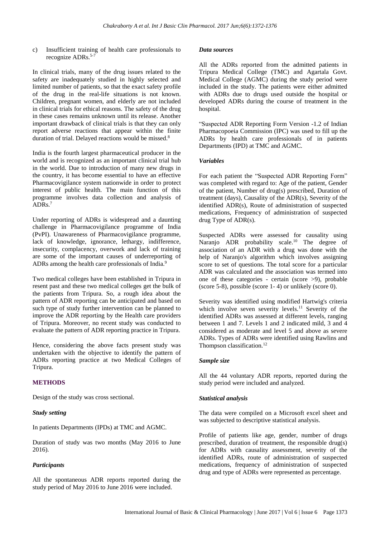c) Insufficient training of health care professionals to recognize ADRs.<sup>5-7</sup>

In clinical trials, many of the drug issues related to the safety are inadequately studied in highly selected and limited number of patients, so that the exact safety profile of the drug in the real-life situations is not known. Children, pregnant women, and elderly are not included in clinical trials for ethical reasons. The safety of the drug in these cases remains unknown until its release. Another important drawback of clinical trials is that they can only report adverse reactions that appear within the finite duration of trial. Delayed reactions would be missed.<sup>8</sup>

India is the fourth largest pharmaceutical producer in the world and is recognized as an important clinical trial hub in the world. Due to introduction of many new drugs in the country, it has become essential to have an effective Pharmacovigilance system nationwide in order to protect interest of public health. The main function of this programme involves data collection and analysis of ADRs. 7

Under reporting of ADRs is widespread and a daunting challenge in Pharmacovigilance programme of India (PvPI). Unawareness of Pharmacovigilance programme, lack of knowledge, ignorance, lethargy, indifference, insecurity, complacency, overwork and lack of training are some of the important causes of underreporting of ADRs among the health care professionals of India.<sup>9</sup>

Two medical colleges have been established in Tripura in resent past and these two medical colleges get the bulk of the patients from Tripura. So, a rough idea about the pattern of ADR reporting can be anticipated and based on such type of study further intervention can be planned to improve the ADR reporting by the Health care providers of Tripura. Moreover, no recent study was conducted to evaluate the pattern of ADR reporting practice in Tripura.

Hence, considering the above facts present study was undertaken with the objective to identify the pattern of ADRs reporting practice at two Medical Colleges of Tripura.

### **METHODS**

Design of the study was cross sectional.

#### *Study setting*

In patients Departments (IPDs) at TMC and AGMC.

Duration of study was two months (May 2016 to June 2016).

#### *Participants*

All the spontaneous ADR reports reported during the study period of May 2016 to June 2016 were included.

#### *Data sources*

All the ADRs reported from the admitted patients in Tripura Medical College (TMC) and Agartala Govt. Medical College (AGMC) during the study period were included in the study. The patients were either admitted with ADRs due to drugs used outside the hospital or developed ADRs during the course of treatment in the hospital.

"Suspected ADR Reporting Form Version -1.2 of Indian Pharmacopoeia Commission (IPC) was used to fill up the ADRs by health care professionals of in patients Departments (IPD) at TMC and AGMC.

#### *Variables*

For each patient the "Suspected ADR Reporting Form" was completed with regard to: Age of the patient, Gender of the patient, Number of drug(s) prescribed, Duration of treatment (days), Causality of the ADR(s), Severity of the identified ADR(s), Route of administration of suspected medications, Frequency of administration of suspected drug Type of ADR(s).

Suspected ADRs were assessed for causality using Naranjo ADR probability scale.<sup>10</sup> The degree of association of an ADR with a drug was done with the help of Naranjo's algorithm which involves assigning score to set of questions. The total score for a particular ADR was calculated and the association was termed into one of these categories - certain (score >9), probable (score 5-8), possible (score 1- 4) or unlikely (score 0).

Severity was identified using modified Hartwig's criteria which involve seven severity levels.<sup>11</sup> Severity of the identified ADRs was assessed at different levels, ranging between 1 and 7. Levels 1 and 2 indicated mild, 3 and 4 considered as moderate and level 5 and above as severe ADRs. Types of ADRs were identified using Rawlins and Thompson classification.<sup>12</sup>

#### *Sample size*

All the 44 voluntary ADR reports, reported during the study period were included and analyzed.

#### *Statistical analysis*

The data were compiled on a Microsoft excel sheet and was subjected to descriptive statistical analysis.

Profile of patients like age, gender, number of drugs prescribed, duration of treatment, the responsible drug(s) for ADRs with causality assessment, severity of the identified ADRs, route of administration of suspected medications, frequency of administration of suspected drug and type of ADRs were represented as percentage.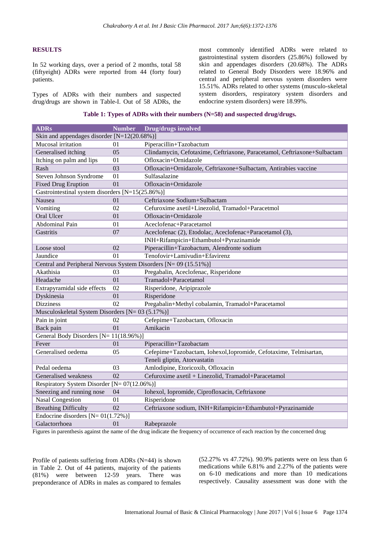#### **RESULTS**

In 52 working days, over a period of 2 months, total 58 (fiftyeight) ADRs were reported from 44 (forty four) patients.

Types of ADRs with their numbers and suspected drug/drugs are shown in Table-I. Out of 58 ADRs, the most commonly identified ADRs were related to gastrointestinal system disorders (25.86%) followed by skin and appendages disorders (20.68%). The ADRs related to General Body Disorders were 18.96% and central and peripheral nervous system disorders were 15.51%. ADRs related to other systems (musculo-skeletal system disorders, respiratory system disorders and endocrine system disorders) were 18.99%.

|  |  | Table 1: Types of ADRs with their numbers (N=58) and suspected drug/drugs. |
|--|--|----------------------------------------------------------------------------|
|  |  |                                                                            |

| <b>ADRs</b>                                                      | <b>Number</b>   | Drug/drugs involved                                                      |  |  |  |  |  |
|------------------------------------------------------------------|-----------------|--------------------------------------------------------------------------|--|--|--|--|--|
| Skin and appendages disorder [N=12(20.68%)]                      |                 |                                                                          |  |  |  |  |  |
| Mucosal irritation                                               | 01              | Piperacillin+Tazobactum                                                  |  |  |  |  |  |
| Generalised itching                                              | 05              | Clindamycin, Cefotaxime, Ceftriaxone, Paracetamol, Ceftriaxone+Sulbactam |  |  |  |  |  |
| Itching on palm and lips                                         | 01              | Ofloxacin+Ornidazole                                                     |  |  |  |  |  |
| Rash                                                             | 03              | Ofloxacin+Ornidazole, Ceftriaxone+Sulbactam, Antirabies vaccine          |  |  |  |  |  |
| Steven Johnson Syndrome                                          | 01              | Sulfasalazine                                                            |  |  |  |  |  |
| <b>Fixed Drug Eruption</b>                                       | 01              | Ofloxacin+Ornidazole                                                     |  |  |  |  |  |
| Gastrointestinal system disorders [N=15(25.86%)]                 |                 |                                                                          |  |  |  |  |  |
| Nausea                                                           | 01              | Ceftriaxone Sodium+Sulbactam                                             |  |  |  |  |  |
| Vomiting                                                         | 02              | Cefuroxime axetil+Linezolid, Tramadol+Paracetmol                         |  |  |  |  |  |
| Oral Ulcer                                                       | 01              | Ofloxacin+Ornidazole                                                     |  |  |  |  |  |
| Abdominal Pain                                                   | 01              | Aceclofenac+Paracetamol                                                  |  |  |  |  |  |
| Gastritis                                                        | 07              | Aceclofenac (2), Etodolac, Aceclofenac+Paracetamol (3),                  |  |  |  |  |  |
|                                                                  |                 | INH+Rifampicin+Ethambutol+Pyrazinamide                                   |  |  |  |  |  |
| Loose stool                                                      | 02              | Piperacillin+Tazobactum, Alendronte sodium                               |  |  |  |  |  |
| Jaundice                                                         | 01              | Tenofovir+Lamivudin+Efavirenz                                            |  |  |  |  |  |
| Central and Peripheral Nervous System Disorders [N= 09 (15.51%)] |                 |                                                                          |  |  |  |  |  |
| Akathisia                                                        | 03              | Pregabalin, Aceclofenac, Risperidone                                     |  |  |  |  |  |
| Headache                                                         | 01              | Tramadol+Paracetamol                                                     |  |  |  |  |  |
| Extrapyramidal side effects                                      | 02              | Risperidone, Aripiprazole                                                |  |  |  |  |  |
| Dyskinesia                                                       | 01              | Risperidone                                                              |  |  |  |  |  |
| <b>Dizziness</b>                                                 | 02              | Pregabalin+Methyl cobalamin, Tramadol+Paracetamol                        |  |  |  |  |  |
| Musculoskeletal System Disorders [N= 03 (5.17%)]                 |                 |                                                                          |  |  |  |  |  |
| Pain in joint                                                    | 02              | Cefepime+Tazobactam, Ofloxacin                                           |  |  |  |  |  |
| Back pain                                                        | 01              | Amikacin                                                                 |  |  |  |  |  |
| General Body Disorders [N= 11(18.96%)]                           |                 |                                                                          |  |  |  |  |  |
| Fever                                                            | 01              | Piperacillin+Tazobactam                                                  |  |  |  |  |  |
| Generalised oedema                                               | 05              | Cefepime+Tazobactam, Iohexol,Iopromide, Cefotaxime, Telmisartan,         |  |  |  |  |  |
|                                                                  |                 | Teneli gliptin, Atorvastatin                                             |  |  |  |  |  |
| Pedal oedema                                                     | 03              | Amlodipine, Etoricoxib, Ofloxacin                                        |  |  |  |  |  |
| Generalised weakness                                             | $\overline{02}$ | Cefuroxime axetil + Linezolid, Tramadol+Paracetamol                      |  |  |  |  |  |
| Respiratory System Disorder [N= 07(12.06%)]                      |                 |                                                                          |  |  |  |  |  |
| Sneezing and running nose                                        | 04              | Iohexol, Iopromide, Ciprofloxacin, Ceftriaxone                           |  |  |  |  |  |
| <b>Nasal Congestion</b>                                          | 01              | Risperidone                                                              |  |  |  |  |  |
| <b>Breathing Difficulty</b>                                      | 02              | Ceftriaxone sodium, INH+Rifampicin+Ethambutol+Pyrazinamide               |  |  |  |  |  |
| Endocrine disorders $[N=01(1.72\%)]$                             |                 |                                                                          |  |  |  |  |  |
| Galactorrhoea                                                    | 01              | Rabeprazole                                                              |  |  |  |  |  |

Figures in parenthesis against the name of the drug indicate the frequency of occurrence of each reaction by the concerned drug

Profile of patients suffering from ADRs (N=44) is shown in Table 2. Out of 44 patients, majority of the patients (81%) were between 12-59 years. There was preponderance of ADRs in males as compared to females

(52.27% vs 47.72%). 90.9% patients were on less than 6 medications while 6.81% and 2.27% of the patients were on 6-10 medications and more than 10 medications respectively. Causality assessment was done with the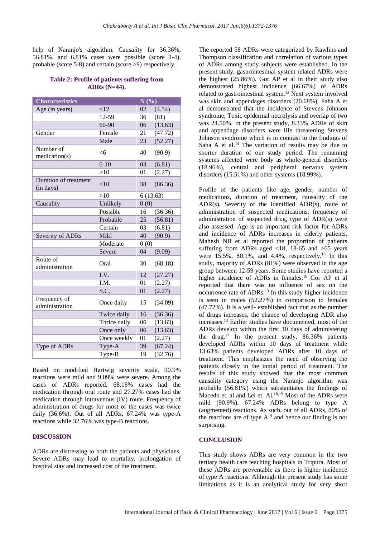help of Naranjo's algorithm. Causality for 36.36%, 56.81%, and 6.81% cases were possible (score 1-4), probable (score 5-8) and certain (score >9) respectively.

#### **Table 2: Profile of patients suffering from ADRs (N=44).**

| <b>Characteristics</b>             |                 |          | N(%)    |  |
|------------------------------------|-----------------|----------|---------|--|
| Age (in years)                     | <12             | 02       | (4.54)  |  |
|                                    | 12-59           | 36       | (81)    |  |
|                                    | 60-90           | 06       | (13.63) |  |
| Gender                             | $\bar{F}$ emale | 21       | (47.72) |  |
|                                    | Male            | 23       | (52.27) |  |
| Number of<br>mediation(s)          | <6              | 40       | (90.9)  |  |
|                                    | $6 - 10$        | 03       | (6.81)  |  |
|                                    | >10             | 01       | (2.27)  |  |
| Duration of treatment<br>(in days) | <10             | 38       | (86.36) |  |
|                                    | >10             | 6(13.63) |         |  |
| Causality                          | Unlikely        | 0(0)     |         |  |
|                                    | Possible        | 16       | (36.36) |  |
|                                    | Probable        | 25       | (56.81) |  |
|                                    | Certain         | 03       | (6.81)  |  |
| Severity of ADRs                   | Mild            | 40       | (90.9)  |  |
|                                    | Moderate        | 0(0)     |         |  |
|                                    | Severe          | 04       | (9.09)  |  |
| Route of<br>administration         | Oral            | 30       | (68.18) |  |
|                                    | I.V.            | 12       | (27.27) |  |
|                                    | I.M.            | 01       | (2.27)  |  |
|                                    | S.C.            | 01       | (2.27)  |  |
| Frequency of<br>administration     | Once daily      | 15       | (34.09) |  |
|                                    | Twice daily     | 16       | (36.36) |  |
|                                    | Thrice daily    | 06       | (13.63) |  |
|                                    | Once only       | 06       | (13.63) |  |
|                                    | Once weekly     | 01       | (2.27)  |  |
| Type of ADRs                       | Type-A          | 39       | (67.24) |  |
|                                    | Type-B          | 19       | (32.76) |  |

Based on modified Hartwig severity scale, 90.9% reactions were mild and 9.09% were severe. Among the cases of ADRs reported, 68.18% cases had the medication through oral route and 27.27% cases had the medication through intravenous (IV) route. Frequency of administration of drugs for most of the cases was twice daily (36.6%). Out of all ADRs, 67.24% was type-A reactions while 32.76% was type-B reactions.

#### **DISCUSSION**

ADRs are distressing to both the patients and physicians. Severe ADRs may lead to mortality, prolongation of hospital stay and increased cost of the treatment.

The reported 58 ADRs were categorized by Rawlins and Thompson classification and correlation of various types of ADRs among study subjects were established. In the present study, gastrointestinal system related ADRs were the highest (25.86%). Gor AP et al in their study also demonstrated highest incidence (66.67%) of ADRs related to gastrointestinal system.<sup>13</sup> Next system involved was skin and appendages disorders (20.68%). Saha A et al demonstrated that the incidence of Stevens Johnson syndrome, Toxic epidermal necrolysis and overlap of two was 24.50%. In the present study, 8.33% ADRs of skin and appendage disorders were life threatening Stevens Johnson syndrome which is in contrast to the findings of Saha A et al.<sup>14</sup> The variation of results may be due to shorter duration of our study period. The remaining systems affected were body as whole-general disorders (18.96%), central and peripheral nervous system disorders (15.51%) and other systems (18.99%).

Profile of the patients like age, gender, number of medications, duration of treatment, causality of the ADR(s), Severity of the identified ADR(s), route of administration of suspected medications, frequency of administration of suspected drug, type of ADR(s) were also assessed. Age is an important risk factor for ADRs and incidence of ADRs increases in elderly patients. Mahesh NB et al reported the proportion of patients suffering from ADRs aged  $\langle 18, 18-65 \rangle$  and  $\langle 65 \rangle$  years were 15.5%, 80.1%, and 4.4%, respectively.<sup>15</sup> In this study, majority of ADRs (81%) were observed in the age group between 12-59 years. Some studies have reported a higher incidence of ADRs in females. <sup>16</sup> Gor AP et al reported that there was no influence of sex on the occurrence rate of ADRs. <sup>13</sup> In this study higher incidence is seen in males (52.27%) in comparison to females (47.72%). It is a well- established fact that as the number of drugs increases, the chance of developing ADR also increases. <sup>13</sup> Earlier studies have documented, most of the ADRs develop within the first 10 days of administering the drug. <sup>17</sup> In the present study, 86.36% patients developed ADRs within 10 days of treatment while 13.63% patients developed ADRs after 10 days of treatment. This emphasizes the need of observing the patients closely in the initial period of treatment. The results of this study showed that the most common causality category using the Naranjo algorithm was probable (56.81%) which substantiates the findings of Macedo et. al and Lei et. Al.<sup>18,19</sup> Most of the ADRs were mild (90.9%). 67.24% ADRs belong to type A (augmented) reactions. As such, out of all ADRs, 80% of the reactions are of type  $A^{19}$  and hence our finding is not surprising.

#### **CONCLUSION**

This study shows ADRs are very common in the two tertiary health care teaching hospitals in Tripura. Most of these ADRs are preventable as there is higher incidence of type A reactions. Although the present study has some limitations as it is an analytical study for very short